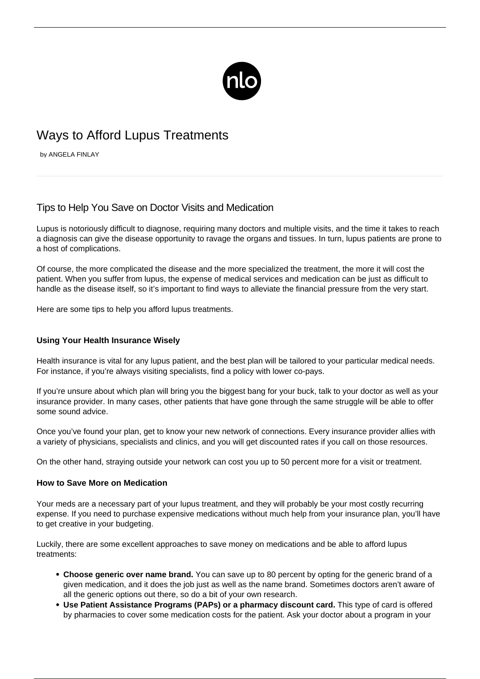

## Ways to Afford Lupus Treatments

by ANGELA FINLAY

## Tips to Help You Save on Doctor Visits and Medication

Lupus is notoriously difficult to diagnose, requiring many doctors and multiple visits, and the time it takes to reach a diagnosis can give the disease opportunity to ravage the organs and tissues. In turn, lupus patients are prone to a host of complications.

Of course, the more complicated the disease and the more specialized the treatment, the more it will cost the patient. When you suffer from lupus, the expense of medical services and medication can be just as difficult to handle as the disease itself, so it's important to find ways to alleviate the financial pressure from the very start.

Here are some tips to help you afford lupus treatments.

## **Using Your Health Insurance Wisely**

Health insurance is vital for any lupus patient, and the best plan will be tailored to your particular medical needs. For instance, if you're always visiting specialists, find a policy with lower co-pays.

If you're unsure about which plan will bring you the biggest bang for your buck, talk to your doctor as well as your insurance provider. In many cases, other patients that have gone through the same struggle will be able to offer some sound advice.

Once you've found your plan, get to know your new network of connections. Every insurance provider allies with a variety of physicians, specialists and clinics, and you will get discounted rates if you call on those resources.

On the other hand, straying outside your network can cost you up to 50 percent more for a visit or treatment.

## **How to Save More on Medication**

Your meds are a necessary part of your [lupus treatment,](/keep-treatment-track/) and they will probably be your most costly recurring expense. If you need to purchase expensive medications without much help from your insurance plan, you'll have to get creative in your budgeting.

Luckily, there are some excellent approaches to save money on medications and be able to afford lupus treatments:

- **Choose generic over name brand.** You can save up to 80 percent by opting for the generic brand of a given medication, and it does the job just as well as the name brand. Sometimes doctors aren't aware of all the generic options out there, so do a bit of your own research.
- **Use Patient Assistance Programs (PAPs) or a pharmacy discount card.** This type of card is offered by pharmacies to cover some medication costs for the patient. Ask your doctor about a program in your